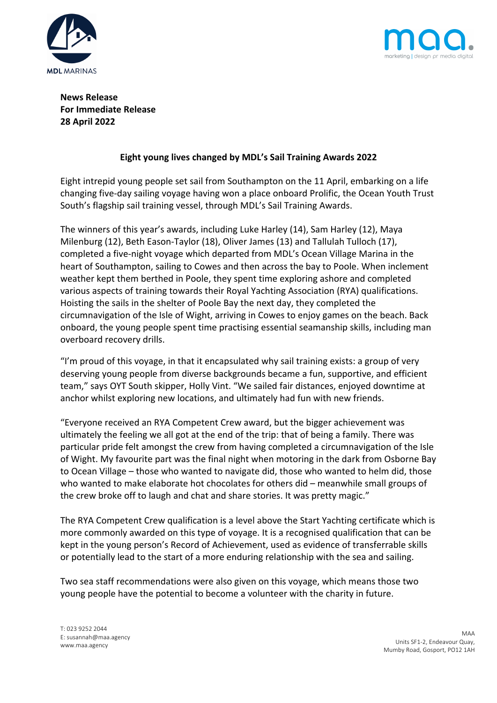



**News Release For Immediate Release 28 April 2022**

# **Eight young lives changed by MDL's Sail Training Awards 2022**

Eight intrepid young people set sail from Southampton on the 11 April, embarking on a life changing five-day sailing voyage having won a place onboard Prolific, the Ocean Youth Trust South's flagship sail training vessel, through MDL's Sail Training Awards.

The winners of this year's awards, including Luke Harley (14), Sam Harley (12), Maya Milenburg (12), Beth Eason-Taylor (18), Oliver James (13) and Tallulah Tulloch (17), completed a five-night voyage which departed from MDL's Ocean Village Marina in the heart of Southampton, sailing to Cowes and then across the bay to Poole. When inclement weather kept them berthed in Poole, they spent time exploring ashore and completed various aspects of training towards their Royal Yachting Association (RYA) qualifications. Hoisting the sails in the shelter of Poole Bay the next day, they completed the circumnavigation of the Isle of Wight, arriving in Cowes to enjoy games on the beach. Back onboard, the young people spent time practising essential seamanship skills, including man overboard recovery drills.

"I'm proud of this voyage, in that it encapsulated why sail training exists: a group of very deserving young people from diverse backgrounds became a fun, supportive, and efficient team," says OYT South skipper, Holly Vint. "We sailed fair distances, enjoyed downtime at anchor whilst exploring new locations, and ultimately had fun with new friends.

"Everyone received an RYA Competent Crew award, but the bigger achievement was ultimately the feeling we all got at the end of the trip: that of being a family. There was particular pride felt amongst the crew from having completed a circumnavigation of the Isle of Wight. My favourite part was the final night when motoring in the dark from Osborne Bay to Ocean Village – those who wanted to navigate did, those who wanted to helm did, those who wanted to make elaborate hot chocolates for others did – meanwhile small groups of the crew broke off to laugh and chat and share stories. It was pretty magic."

The RYA Competent Crew qualification is a level above the Start Yachting certificate which is more commonly awarded on this type of voyage. It is a recognised qualification that can be kept in the young person's Record of Achievement, used as evidence of transferrable skills or potentially lead to the start of a more enduring relationship with the sea and sailing.

Two sea staff recommendations were also given on this voyage, which means those two young people have the potential to become a volunteer with the charity in future.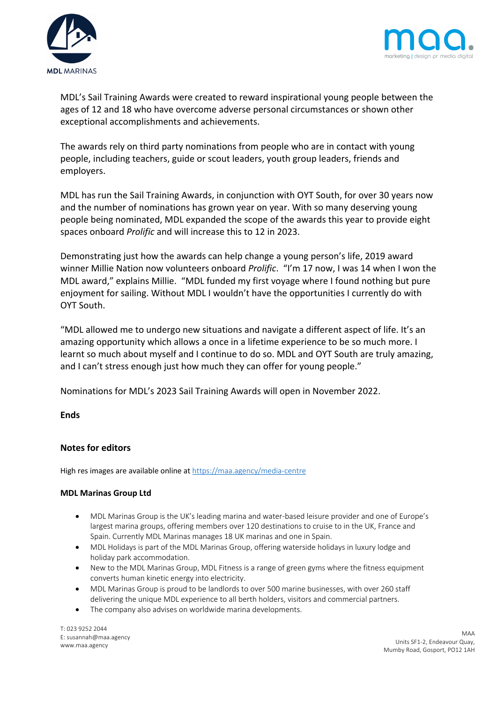



MDL's Sail Training Awards were created to reward inspirational young people between the ages of 12 and 18 who have overcome adverse personal circumstances or shown other exceptional accomplishments and achievements.

The awards rely on third party nominations from people who are in contact with young people, including teachers, guide or scout leaders, youth group leaders, friends and employers.

MDL has run the Sail Training Awards, in conjunction with OYT South, for over 30 years now and the number of nominations has grown year on year. With so many deserving young people being nominated, MDL expanded the scope of the awards this year to provide eight spaces onboard *Prolific* and will increase this to 12 in 2023.

Demonstrating just how the awards can help change a young person's life, 2019 award winner Millie Nation now volunteers onboard *Prolific*. "I'm 17 now, I was 14 when I won the MDL award," explains Millie. "MDL funded my first voyage where I found nothing but pure enjoyment for sailing. Without MDL I wouldn't have the opportunities I currently do with OYT South.

"MDL allowed me to undergo new situations and navigate a different aspect of life. It's an amazing opportunity which allows a once in a lifetime experience to be so much more. I learnt so much about myself and I continue to do so. MDL and OYT South are truly amazing, and I can't stress enough just how much they can offer for young people."

Nominations for MDL's 2023 Sail Training Awards will open in November 2022.

### **Ends**

## **Notes for editors**

High res images are available online at https://maa.agency/media-centre

### **MDL Marinas Group Ltd**

- MDL Marinas Group is the UK's leading marina and water-based leisure provider and one of Europe's largest marina groups, offering members over 120 destinations to cruise to in the UK, France and Spain. Currently MDL Marinas manages 18 UK marinas and one in Spain.
- MDL Holidays is part of the MDL Marinas Group, offering waterside holidays in luxury lodge and holiday park accommodation.
- New to the MDL Marinas Group, MDL Fitness is a range of green gyms where the fitness equipment converts human kinetic energy into electricity.
- MDL Marinas Group is proud to be landlords to over 500 marine businesses, with over 260 staff delivering the unique MDL experience to all berth holders, visitors and commercial partners.
- The company also advises on worldwide marina developments.

T: 023 9252 2044 E: susannah@maa.agency www.maa.agency

MAA Units SF1-2, Endeavour Quay, Mumby Road, Gosport, PO12 1AH